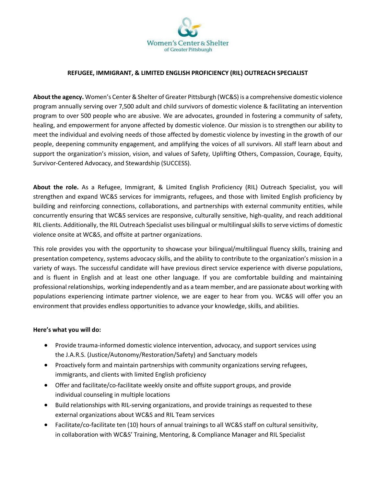

## **REFUGEE, IMMIGRANT, & LIMITED ENGLISH PROFICIENCY (RIL) OUTREACH SPECIALIST**

**About the agency.** Women's Center & Shelter of Greater Pittsburgh (WC&S) is a comprehensive domestic violence program annually serving over 7,500 adult and child survivors of domestic violence & facilitating an intervention program to over 500 people who are abusive. We are advocates, grounded in fostering a community of safety, healing, and empowerment for anyone affected by domestic violence. Our mission is to strengthen our ability to meet the individual and evolving needs of those affected by domestic violence by investing in the growth of our people, deepening community engagement, and amplifying the voices of all survivors. All staff learn about and support the organization's mission, vision, and values of Safety, Uplifting Others, Compassion, Courage, Equity, Survivor-Centered Advocacy, and Stewardship (SUCCESS).

**About the role.** As a Refugee, Immigrant, & Limited English Proficiency (RIL) Outreach Specialist, you will strengthen and expand WC&S services for immigrants, refugees, and those with limited English proficiency by building and reinforcing connections, collaborations, and partnerships with external community entities, while concurrently ensuring that WC&S services are responsive, culturally sensitive, high-quality, and reach additional RIL clients. Additionally, the RIL Outreach Specialist uses bilingual or multilingual skills to serve victims of domestic violence onsite at WC&S, and offsite at partner organizations.

This role provides you with the opportunity to showcase your bilingual/multilingual fluency skills, training and presentation competency, systems advocacy skills, and the ability to contribute to the organization's mission in a variety of ways. The successful candidate will have previous direct service experience with diverse populations, and is fluent in English and at least one other language. If you are comfortable building and maintaining professional relationships, working independently and as a team member, and are passionate about working with populations experiencing intimate partner violence, we are eager to hear from you. WC&S will offer you an environment that provides endless opportunities to advance your knowledge, skills, and abilities.

## **Here's what you will do:**

- Provide trauma-informed domestic violence intervention, advocacy, and support services using the J.A.R.S. (Justice/Autonomy/Restoration/Safety) and Sanctuary models
- Proactively form and maintain partnerships with community organizations serving refugees, immigrants, and clients with limited English proficiency
- Offer and facilitate/co-facilitate weekly onsite and offsite support groups, and provide individual counseling in multiple locations
- Build relationships with RIL-serving organizations, and provide trainings as requested to these external organizations about WC&S and RIL Team services
- Facilitate/co-facilitate ten (10) hours of annual trainings to all WC&S staff on cultural sensitivity, in collaboration with WC&S' Training, Mentoring, & Compliance Manager and RIL Specialist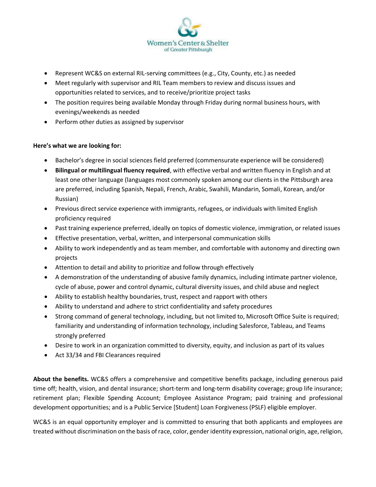

- Represent WC&S on external RIL-serving committees (e.g., City, County, etc.) as needed
- Meet regularly with supervisor and RIL Team members to review and discuss issues and opportunities related to services, and to receive/prioritize project tasks
- The position requires being available Monday through Friday during normal business hours, with evenings/weekends as needed
- Perform other duties as assigned by supervisor

## **Here's what we are looking for:**

- Bachelor's degree in social sciences field preferred (commensurate experience will be considered)
- **Bilingual or multilingual fluency required**, with effective verbal and written fluency in English and at least one other language (languages most commonly spoken among our clients in the Pittsburgh area are preferred, including Spanish, Nepali, French, Arabic, Swahili, Mandarin, Somali, Korean, and/or Russian)
- Previous direct service experience with immigrants, refugees, or individuals with limited English proficiency required
- Past training experience preferred, ideally on topics of domestic violence, immigration, or related issues
- Effective presentation, verbal, written, and interpersonal communication skills
- Ability to work independently and as team member, and comfortable with autonomy and directing own projects
- Attention to detail and ability to prioritize and follow through effectively
- A demonstration of the understanding of abusive family dynamics, including intimate partner violence, cycle of abuse, power and control dynamic, cultural diversity issues, and child abuse and neglect
- Ability to establish healthy boundaries, trust, respect and rapport with others
- Ability to understand and adhere to strict confidentiality and safety procedures
- Strong command of general technology, including, but not limited to, Microsoft Office Suite is required; familiarity and understanding of information technology, including Salesforce, Tableau, and Teams strongly preferred
- Desire to work in an organization committed to diversity, equity, and inclusion as part of its values
- Act 33/34 and FBI Clearances required

**About the benefits.** WC&S offers a comprehensive and competitive benefits package, including generous paid time off; health, vision, and dental insurance; short-term and long-term disability coverage; group life insurance; retirement plan; Flexible Spending Account; Employee Assistance Program; paid training and professional development opportunities; and is a Public Service [Student] Loan Forgiveness (PSLF) eligible employer.

WC&S is an equal opportunity employer and is committed to ensuring that both applicants and employees are treated without discrimination on the basis of race, color, gender identity expression, national origin, age, religion,